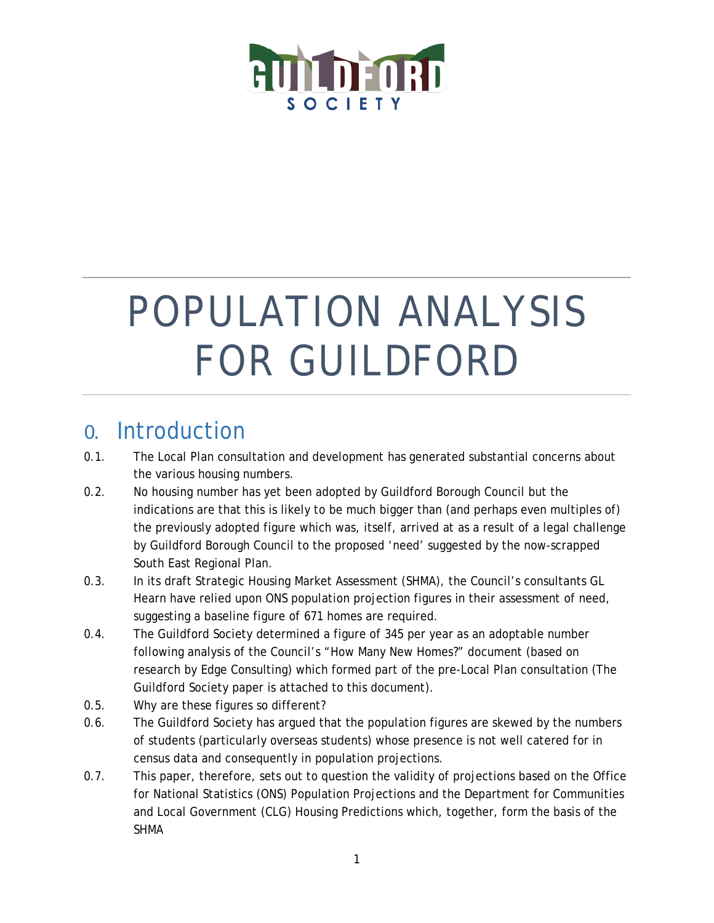

# POPULATION ANALYSIS FOR GUILDFORD

# 0. Introduction

- 0.1. The Local Plan consultation and development has generated substantial concerns about the various housing numbers.
- 0.2. No housing number has yet been adopted by Guildford Borough Council but the indications are that this is likely to be much bigger than (and perhaps even multiples of) the previously adopted figure which was, itself, arrived at as a result of a legal challenge by Guildford Borough Council to the proposed 'need' suggested by the now-scrapped South East Regional Plan.
- 0.3. In its draft Strategic Housing Market Assessment (SHMA), the Council's consultants GL Hearn have relied upon ONS population projection figures in their assessment of need, suggesting a baseline figure of 671 homes are required.
- 0.4. The Guildford Society determined a figure of 345 per year as an adoptable number following analysis of the Council's "How Many New Homes?" document (based on research by Edge Consulting) which formed part of the pre-Local Plan consultation (The Guildford Society paper is attached to this document).
- 0.5. Why are these figures so different?
- 0.6. The Guildford Society has argued that the population figures are skewed by the numbers of students (particularly overseas students) whose presence is not well catered for in census data and consequently in population projections.
- 0.7. This paper, therefore, sets out to question the validity of projections based on the Office for National Statistics (ONS) Population Projections and the Department for Communities and Local Government (CLG) Housing Predictions which, together, form the basis of the SHMA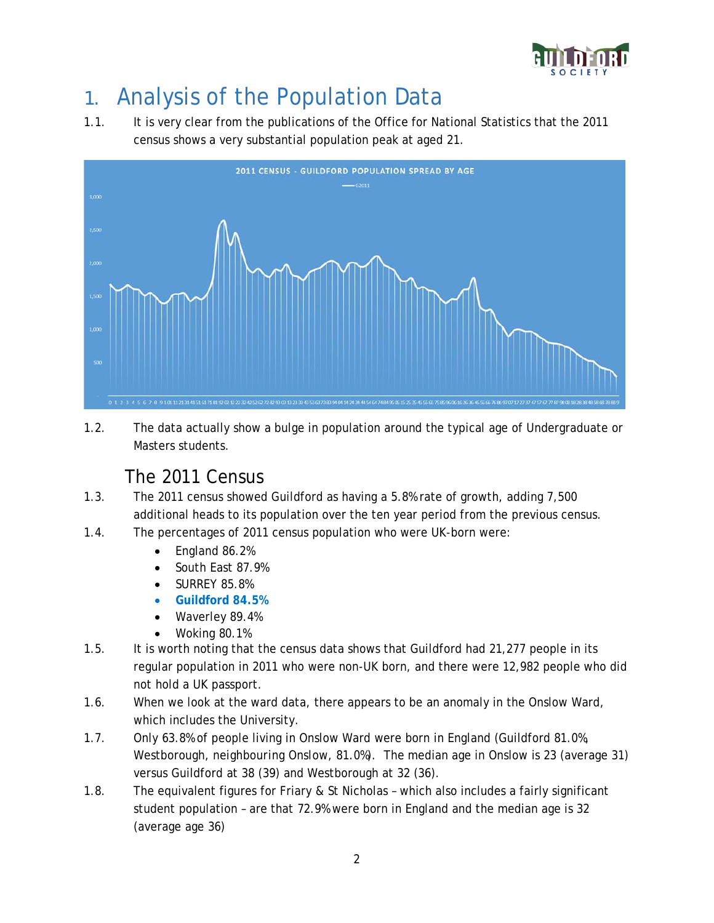

# 1. Analysis of the Population Data

1.1. It is very clear from the publications of the Office for National Statistics that the 2011 census shows a very substantial population peak at aged 21.



1.2. The data actually show a bulge in population around the typical age of Undergraduate or Masters students.

#### The 2011 Census

- 1.3. The 2011 census showed Guildford as having a 5.8% rate of growth, adding 7,500 additional heads to its population over the ten year period from the previous census.
- 1.4. The percentages of 2011 census population who were UK-born were:
	- England 86.2%
	- South East 87.9%
	- SURREY 85.8%
	- **Guildford 84.5%**
	- Waverley 89.4%
	- Woking 80.1%
- 1.5. It is worth noting that the census data shows that Guildford had 21,277 people in its regular population in 2011 who were non-UK born, and there were 12,982 people who did not hold a UK passport.
- 1.6. When we look at the ward data, there appears to be an anomaly in the Onslow Ward, which includes the University.
- 1.7. Only 63.8% of people living in Onslow Ward were born in England (Guildford 81.0%, Westborough, *neighbouring Onslow*, 81.0%). The median age in Onslow is 23 (average 31) versus Guildford at 38 (39) and Westborough at 32 (36).
- 1.8. The equivalent figures for Friary & St Nicholas which also includes a fairly significant student population – are that 72.9% were born in England and the median age is 32 (average age 36)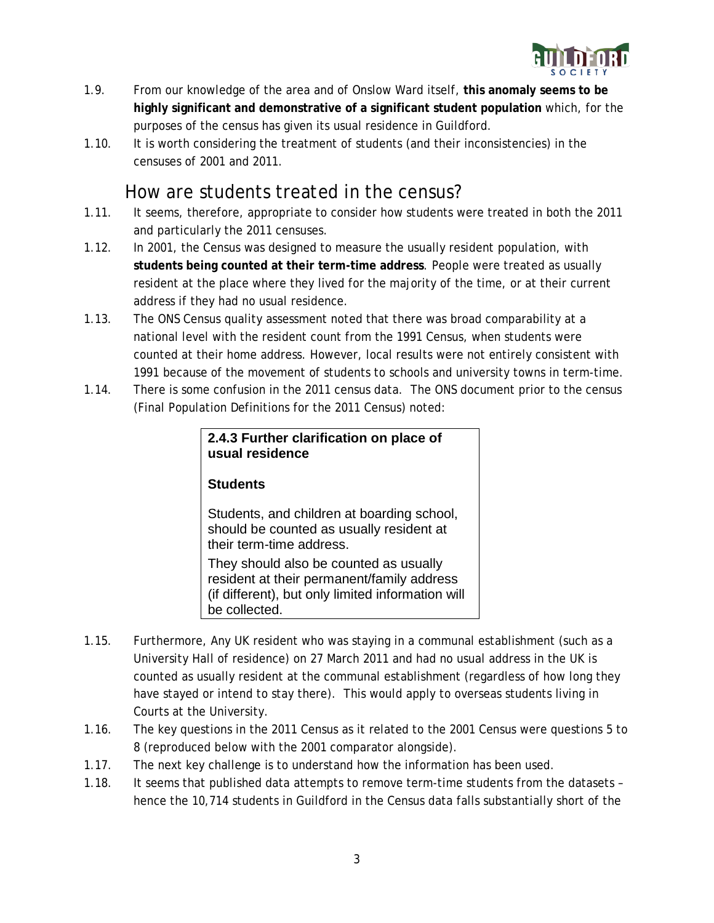

- 1.9. From our knowledge of the area and of Onslow Ward itself, **this anomaly seems to be highly significant and demonstrative of a significant student population** which, for the purposes of the census has given its usual residence in Guildford.
- 1.10. It is worth considering the treatment of students (and their inconsistencies) in the censuses of 2001 and 2011.

#### How are students treated in the census?

- 1.11. It seems, therefore, appropriate to consider how students were treated in both the 2011 and particularly the 2011 censuses.
- 1.12. In 2001, the Census was designed to measure the usually resident population, with **students being counted at their term-time address**. People were treated as usually resident at the place where they lived for the majority of the time, or at their current address if they had no usual residence.
- 1.13. The ONS Census quality assessment noted that there was broad comparability at a national level with the resident count from the 1991 Census, when students were counted at their home address. However, local results were not entirely consistent with 1991 because of the movement of students to schools and university towns in term-time.
- 1.14. There is some confusion in the 2011 census data. The ONS document prior to the census (Final Population Definitions for the 2011 Census) noted:

| 2.4.3 Further clarification on place of<br>usual residence                                                                                                 |  |  |  |  |  |  |  |
|------------------------------------------------------------------------------------------------------------------------------------------------------------|--|--|--|--|--|--|--|
| <b>Students</b>                                                                                                                                            |  |  |  |  |  |  |  |
| Students, and children at boarding school,<br>should be counted as usually resident at<br>their term-time address.                                         |  |  |  |  |  |  |  |
| They should also be counted as usually<br>resident at their permanent/family address<br>(if different), but only limited information will<br>be collected. |  |  |  |  |  |  |  |

- 1.15. Furthermore, Any UK resident who was staying in a communal establishment (such as a University Hall of residence) on 27 March 2011 and had no usual address in the UK is counted as usually resident at the communal establishment (regardless of how long they have stayed or intend to stay there). This would apply to overseas students living in Courts at the University.
- 1.16. The key questions in the 2011 Census as it related to the 2001 Census were questions 5 to 8 (reproduced below with the 2001 comparator alongside).
- 1.17. The next key challenge is to understand how the information has been used.
- 1.18. It seems that published data attempts to remove term-time students from the datasets hence the 10,714 students in Guildford in the Census data falls substantially short of the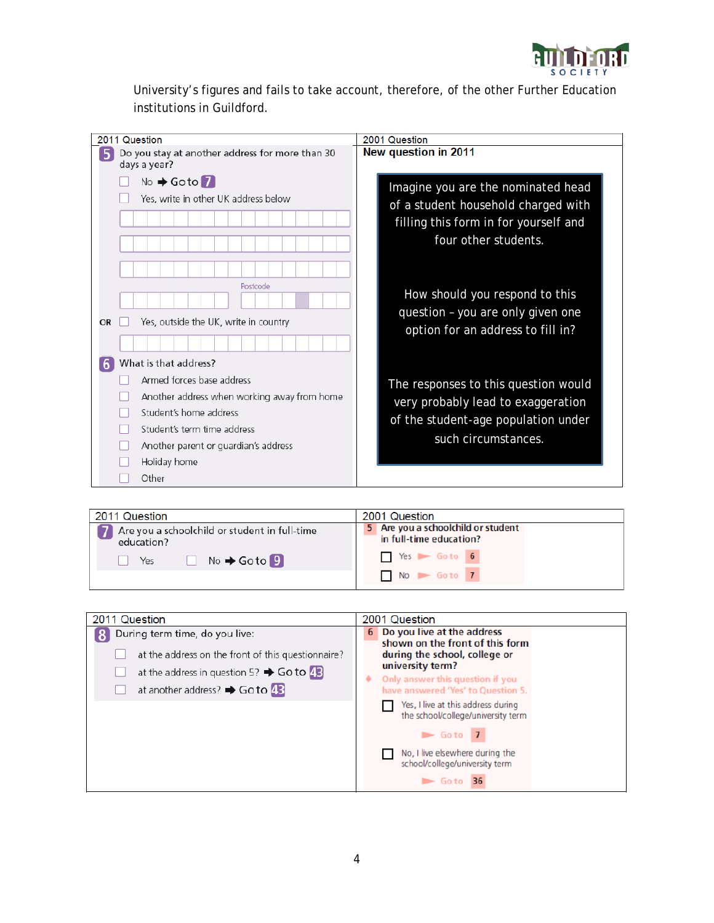

University's figures and fails to take account, therefore, of the other Further Education institutions in Guildford.

| 2011 Question                                                                                                                                                                                                                    | 2001 Question                                                                                                                              |
|----------------------------------------------------------------------------------------------------------------------------------------------------------------------------------------------------------------------------------|--------------------------------------------------------------------------------------------------------------------------------------------|
| Do you stay at another address for more than 30<br>days a year?                                                                                                                                                                  | New question in 2011                                                                                                                       |
| No → Goto 7<br>Yes, write in other UK address below                                                                                                                                                                              | Imagine you are the nominated head<br>of a student household charged with<br>filling this form in for yourself and<br>four other students. |
| Postcode<br>Yes, outside the UK, write in country<br><b>OR</b>                                                                                                                                                                   | How should you respond to this<br>question - you are only given one<br>option for an address to fill in?                                   |
| What is that address?<br>6<br>Armed forces base address<br>Another address when working away from home<br>Student's home address<br>Student's term time address<br>Another parent or quardian's address<br>Holiday home<br>Other | The responses to this question would<br>very probably lead to exaggeration<br>of the student-age population under<br>such circumstances.   |

| 2011 Question                                               | 2001 Question                                                 |  |  |  |  |
|-------------------------------------------------------------|---------------------------------------------------------------|--|--|--|--|
| Are you a schoolchild or student in full-time<br>education? | 5 Are you a schoolchild or student<br>in full-time education? |  |  |  |  |
| $No \rightarrow Go$ to $9$<br>Yes                           | $\sqrt{ }$ Yes $\sqrt{ }$ Go to 6                             |  |  |  |  |
|                                                             | $No$ $\rightarrow$ Go to 7                                    |  |  |  |  |

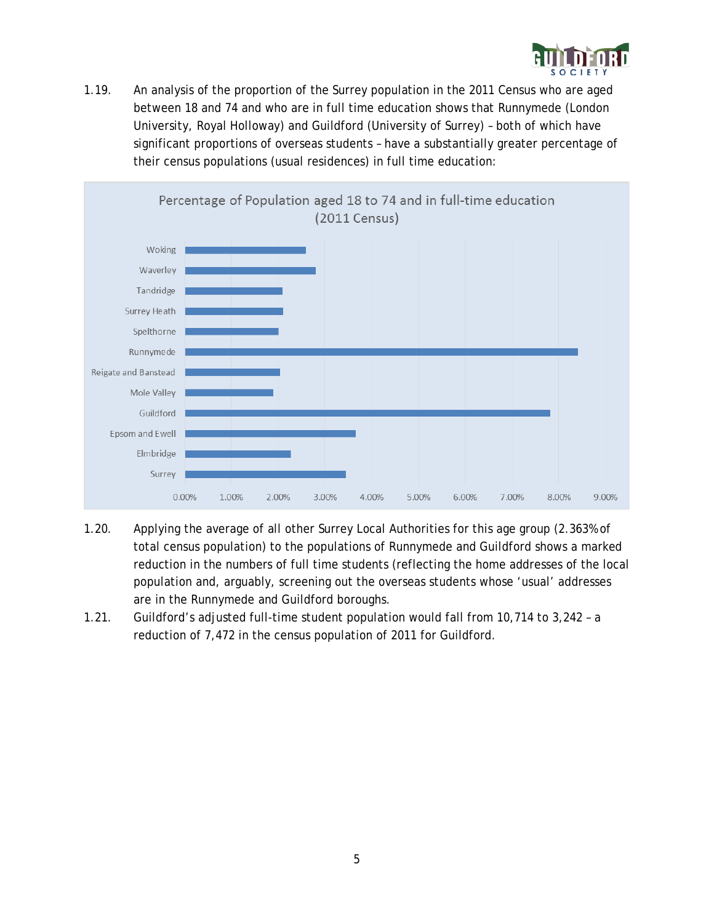

1.19. An analysis of the proportion of the Surrey population in the 2011 Census who are aged between 18 and 74 and who are in full time education shows that Runnymede (London University, Royal Holloway) and Guildford (University of Surrey) – both of which have significant proportions of overseas students – have a substantially greater percentage of their census populations (usual residences) in full time education:



- 1.20. Applying the average of all other Surrey Local Authorities for this age group (2.363% of total census population) to the populations of Runnymede and Guildford shows a marked reduction in the numbers of full time students (reflecting the home addresses of the local population and, arguably, screening out the overseas students whose 'usual' addresses are in the Runnymede and Guildford boroughs.
- 1.21. Guildford's adjusted full-time student population would fall from 10,714 to 3,242 a reduction of 7,472 in the census population of 2011 for Guildford.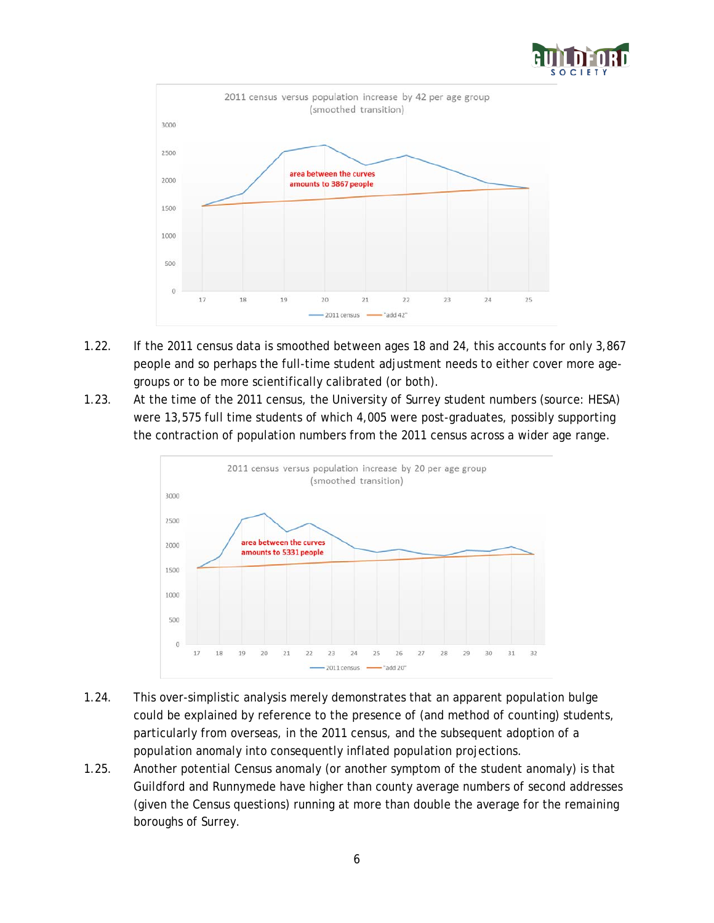



- 1.22. If the 2011 census data is smoothed between ages 18 and 24, this accounts for only 3,867 people and so perhaps the full-time student adjustment needs to either cover more agegroups or to be more scientifically calibrated (or both).
- 1.23. At the time of the 2011 census, the University of Surrey student numbers (source: HESA) were 13,575 full time students of which 4,005 were post-graduates, possibly supporting the contraction of population numbers from the 2011 census across a wider age range.



- 1.24. This over-simplistic analysis merely demonstrates that an apparent population bulge could be explained by reference to the presence of (and method of counting) students, particularly from overseas, in the 2011 census, and the subsequent adoption of a population anomaly into consequently inflated population projections.
- 1.25. Another potential Census anomaly (or another symptom of the student anomaly) is that Guildford and Runnymede have higher than county average numbers of second addresses (given the Census questions) running at more than double the average for the remaining boroughs of Surrey.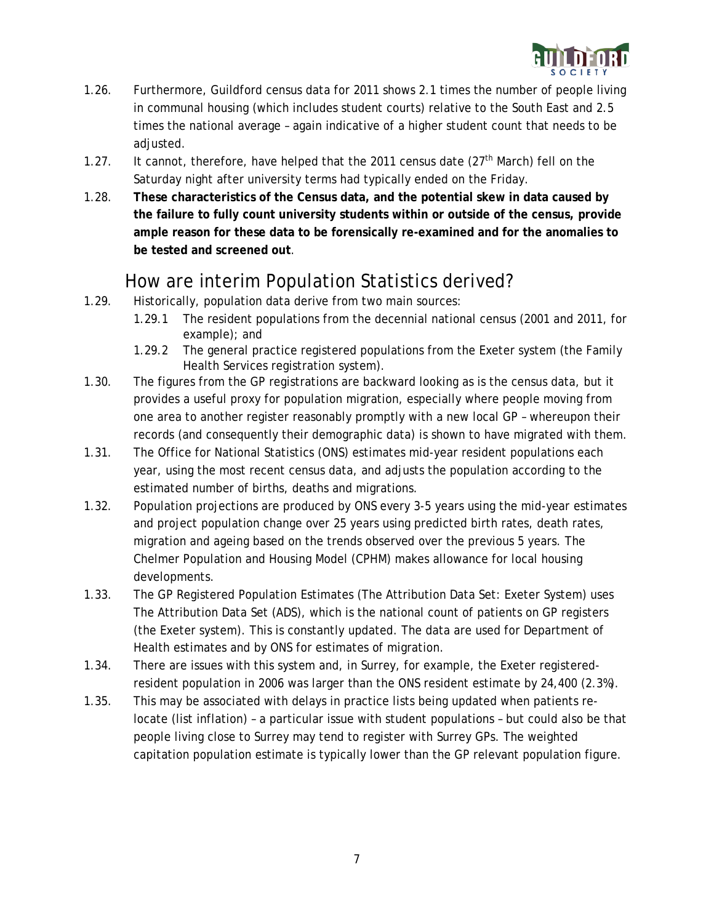

- 1.26. Furthermore, Guildford census data for 2011 shows 2.1 times the number of people living in communal housing (which includes student courts) relative to the South East and 2.5 times the national average – again indicative of a higher student count that needs to be adjusted.
- 1.27. It cannot, therefore, have helped that the 2011 census date  $(27<sup>th</sup> March)$  fell on the Saturday night after university terms had typically ended on the Friday.
- 1.28. **These characteristics of the Census data, and the potential skew in data caused by the failure to fully count university students within or outside of the census, provide ample reason for these data to be forensically re-examined and for the anomalies to be tested and screened out**.

#### How are interim Population Statistics derived?

- 1.29. Historically, population data derive from two main sources:
	- 1.29.1 The resident populations from the decennial national census (2001 and 2011, for example); and
	- 1.29.2 The general practice registered populations from the Exeter system (the Family Health Services registration system).
- 1.30. The figures from the GP registrations are backward looking as is the census data, but it provides a useful proxy for population migration, especially where people moving from one area to another register reasonably promptly with a new local GP – whereupon their records (and consequently their demographic data) is shown to have migrated with them.
- 1.31. The Office for National Statistics (ONS) estimates mid-year resident populations each year, using the most recent census data, and adjusts the population according to the estimated number of births, deaths and migrations.
- 1.32. Population projections are produced by ONS every 3-5 years using the mid-year estimates and project population change over 25 years using predicted birth rates, death rates, migration and ageing based on the trends observed over the previous 5 years. The Chelmer Population and Housing Model (CPHM) makes allowance for local housing developments.
- 1.33. The GP Registered Population Estimates (The Attribution Data Set: Exeter System) uses The Attribution Data Set (ADS), which is the national count of patients on GP registers (the Exeter system). This is constantly updated. The data are used for Department of Health estimates and by ONS for estimates of migration.
- 1.34. There are issues with this system and, in Surrey, for example, the Exeter registeredresident population in 2006 was larger than the ONS resident estimate by 24,400 (2.3%).
- 1.35. This may be associated with delays in practice lists being updated when patients relocate (list inflation) – a particular issue with student populations – but could also be that people living close to Surrey may tend to register with Surrey GPs. The weighted capitation population estimate is typically lower than the GP relevant population figure.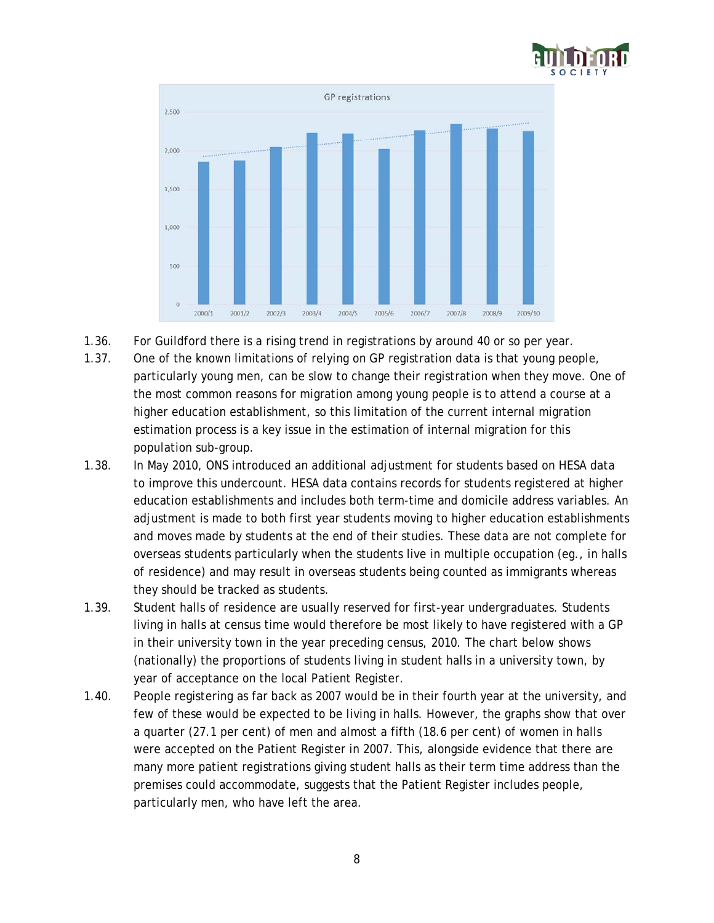



- 1.36. For Guildford there is a rising trend in registrations by around 40 or so per year.
- 1.37. One of the known limitations of relying on GP registration data is that young people, particularly young men, can be slow to change their registration when they move. One of the most common reasons for migration among young people is to attend a course at a higher education establishment, so this limitation of the current internal migration estimation process is a key issue in the estimation of internal migration for this population sub-group.
- 1.38. In May 2010, ONS introduced an additional adjustment for students based on HESA data to improve this undercount. HESA data contains records for students registered at higher education establishments and includes both term-time and domicile address variables. An adjustment is made to both first year students moving to higher education establishments and moves made by students at the end of their studies. These data are not complete for overseas students particularly when the students live in multiple occupation (eg., in halls of residence) and may result in overseas students being counted as immigrants whereas they should be tracked as students.
- 1.39. Student halls of residence are usually reserved for first-year undergraduates. Students living in halls at census time would therefore be most likely to have registered with a GP in their university town in the year preceding census, 2010. The chart below shows (nationally) the proportions of students living in student halls in a university town, by year of acceptance on the local Patient Register.
- 1.40. People registering as far back as 2007 would be in their fourth year at the university, and few of these would be expected to be living in halls. However, the graphs show that over a quarter (27.1 per cent) of men and almost a fifth (18.6 per cent) of women in halls were accepted on the Patient Register in 2007. This, alongside evidence that there are many more patient registrations giving student halls as their term time address than the premises could accommodate, suggests that the Patient Register includes people, particularly men, who have left the area.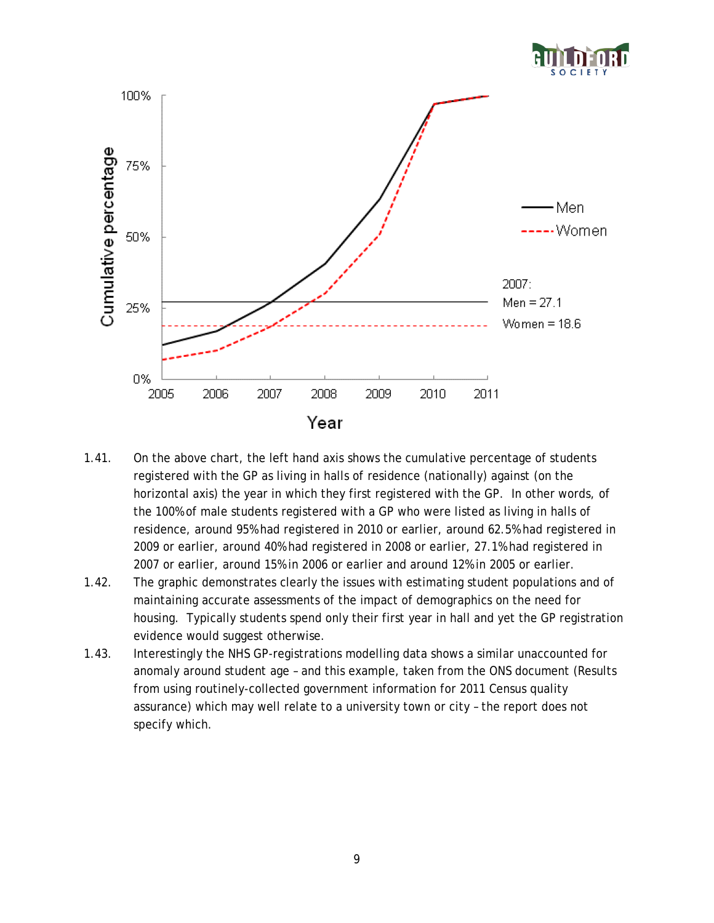

- 1.41. On the above chart, the left hand axis shows the cumulative percentage of students registered with the GP as living in halls of residence (nationally) against (on the horizontal axis) the year in which they first registered with the GP. In other words, of the 100% of male students registered with a GP who were listed as living in halls of residence, around 95% had registered in 2010 or earlier, around 62.5% had registered in 2009 or earlier, around 40% had registered in 2008 or earlier, 27.1% had registered in 2007 or earlier, around 15% in 2006 or earlier and around 12% in 2005 or earlier.
- 1.42. The graphic demonstrates clearly the issues with estimating student populations and of maintaining accurate assessments of the impact of demographics on the need for housing. Typically students spend only their first year in hall and yet the GP registration evidence would suggest otherwise.
- 1.43. Interestingly the NHS GP-registrations modelling data shows a similar unaccounted for anomaly around student age – and this example, taken from the ONS document (Results from using routinely-collected government information for 2011 Census quality assurance) which may well relate to a university town or city – the report does not specify which.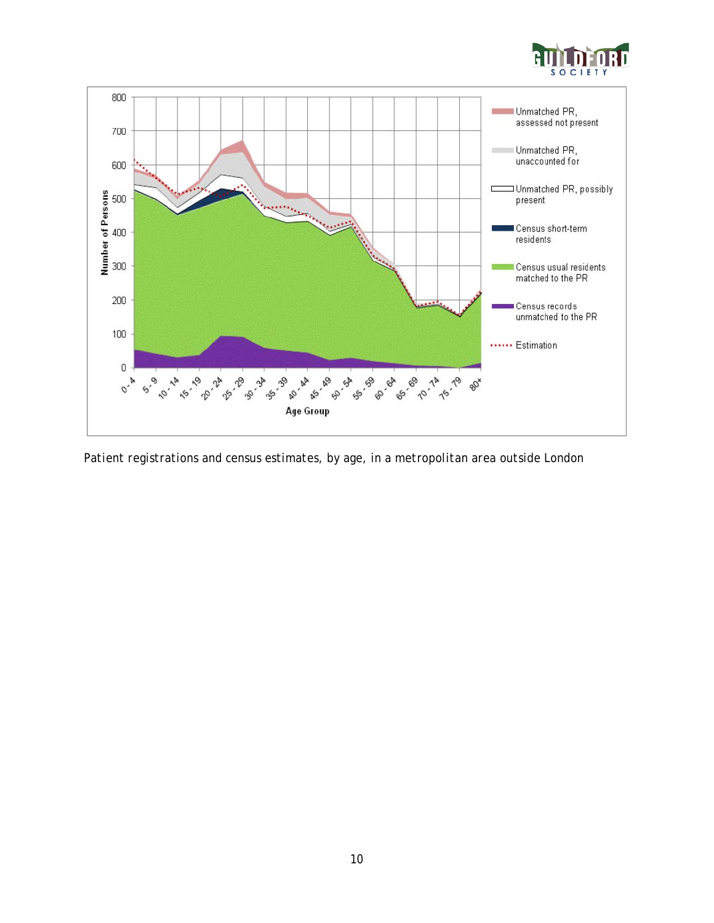



*Patient registrations and census estimates, by age, in a metropolitan area outside London*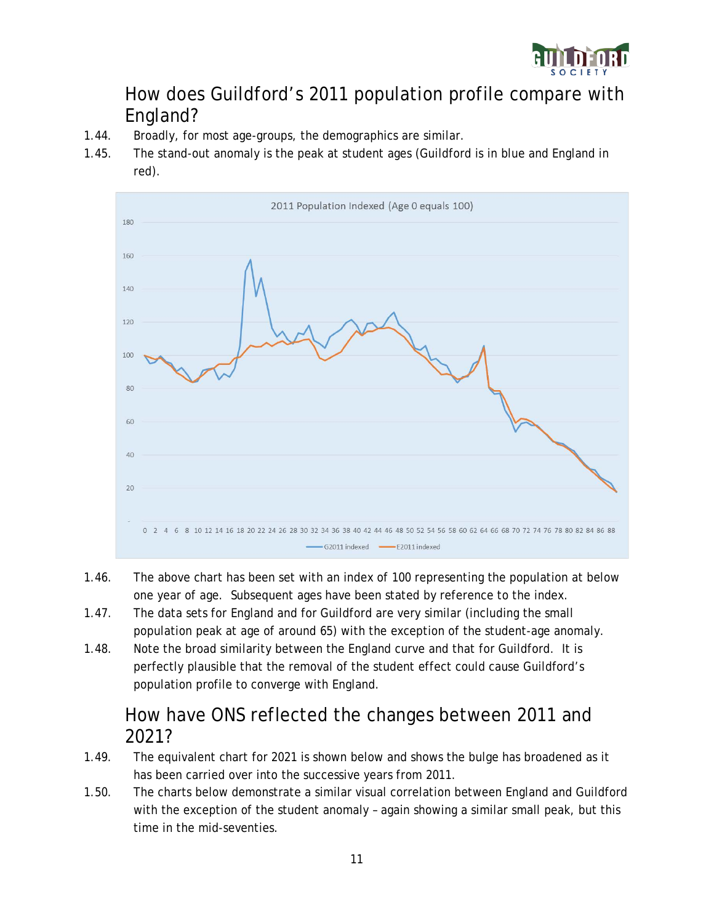

#### How does Guildford's 2011 population profile compare with England?

- 1.44. Broadly, for most age-groups, the demographics are similar.
- 1.45. The stand-out anomaly is the peak at student ages (Guildford is in blue and England in red).



- 1.46. The above chart has been set with an index of 100 representing the population at below one year of age. Subsequent ages have been stated by reference to the index.
- 1.47. The data sets for England and for Guildford are very similar (including the small population peak at age of around 65) with the exception of the student-age anomaly.
- 1.48. Note the broad similarity between the England curve and that for Guildford. It is perfectly plausible that the removal of the student effect could cause Guildford's population profile to converge with England.

#### How have ONS reflected the changes between 2011 and 2021?

- 1.49. The equivalent chart for 2021 is shown below and shows the bulge has broadened as it has been carried over into the successive years from 2011.
- 1.50. The charts below demonstrate a similar visual correlation between England and Guildford with the exception of the student anomaly – again showing a similar small peak, but this time in the mid-seventies.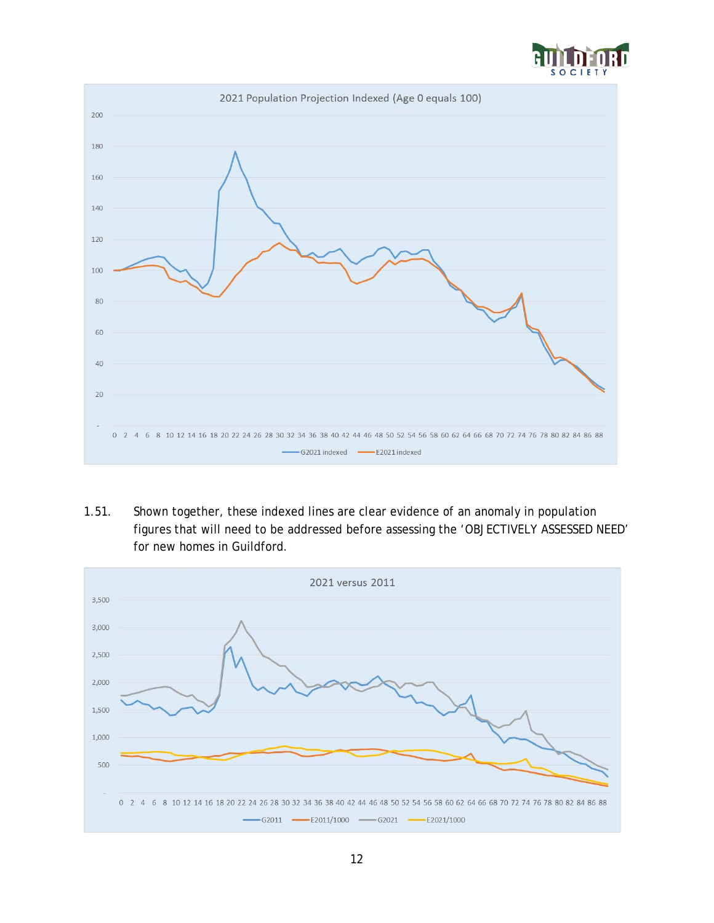



1.51. Shown together, these indexed lines are clear evidence of an anomaly in population figures that will need to be addressed before assessing the 'OBJECTIVELY ASSESSED NEED' for new homes in Guildford.

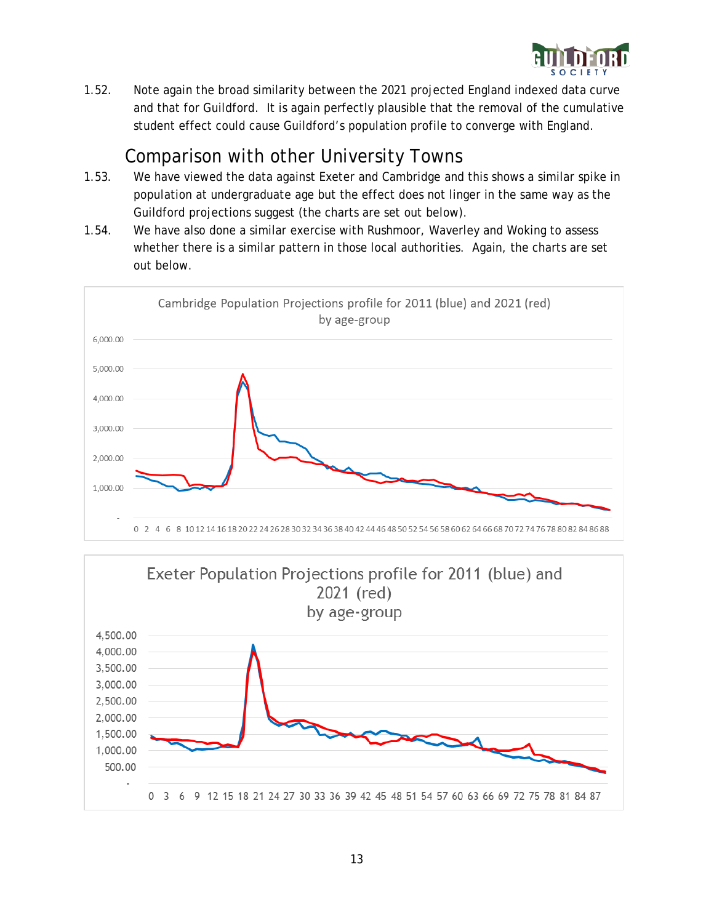

1.52. Note again the broad similarity between the 2021 projected England indexed data curve and that for Guildford. It is again perfectly plausible that the removal of the cumulative student effect could cause Guildford's population profile to converge with England.

#### Comparison with other University Towns

- 1.53. We have viewed the data against Exeter and Cambridge and this shows a similar spike in population at undergraduate age but the effect does not linger in the same way as the Guildford projections suggest (the charts are set out below).
- 1.54. We have also done a similar exercise with Rushmoor, Waverley and Woking to assess whether there is a similar pattern in those local authorities. Again, the charts are set out below.



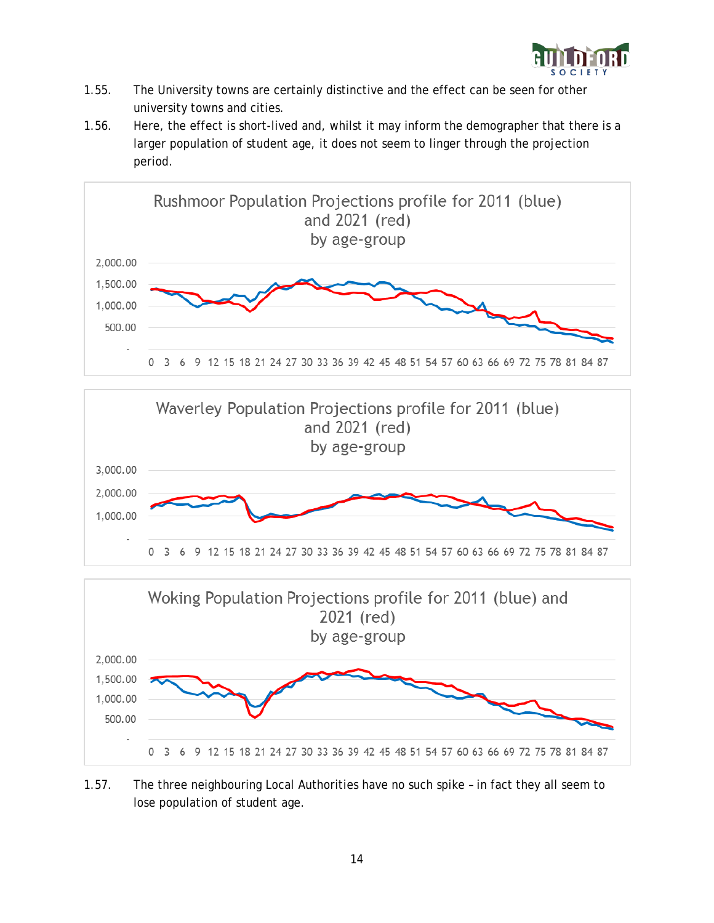

- 1.55. The University towns are certainly distinctive and the effect can be seen for other university towns and cities.
- 1.56. Here, the effect is short-lived and, whilst it may inform the demographer that there is a larger population of student age, it does not seem to linger through the projection period.







1.57. The three neighbouring Local Authorities have no such spike – in fact they all seem to lose population of student age.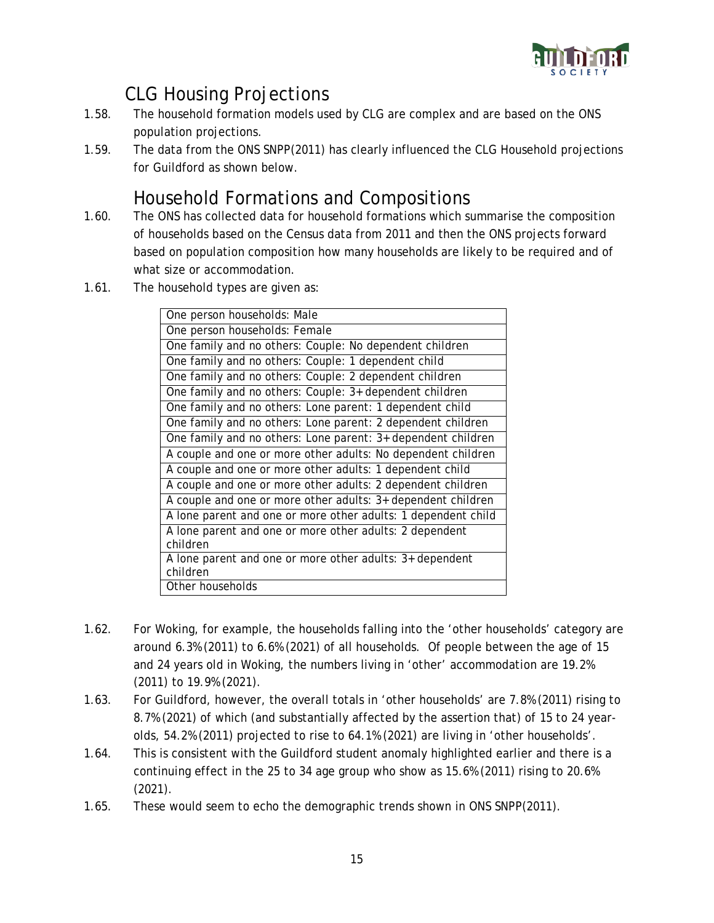

## CLG Housing Projections

- 1.58. The household formation models used by CLG are complex and are based on the ONS population projections.
- 1.59. The data from the ONS SNPP(2011) has clearly influenced the CLG Household projections for Guildford as shown below.

#### Household Formations and Compositions

- 1.60. The ONS has collected data for household formations which summarise the composition of households based on the Census data from 2011 and then the ONS projects forward based on population composition how many households are likely to be required and of what size or accommodation.
- 1.61. The household types are given as:

| One person households: Male                                          |
|----------------------------------------------------------------------|
| One person households: Female                                        |
| One family and no others: Couple: No dependent children              |
| One family and no others: Couple: 1 dependent child                  |
| One family and no others: Couple: 2 dependent children               |
| One family and no others: Couple: 3+ dependent children              |
| One family and no others: Lone parent: 1 dependent child             |
| One family and no others: Lone parent: 2 dependent children          |
| One family and no others: Lone parent: 3+ dependent children         |
| A couple and one or more other adults: No dependent children         |
| A couple and one or more other adults: 1 dependent child             |
| A couple and one or more other adults: 2 dependent children          |
| A couple and one or more other adults: 3+ dependent children         |
| A lone parent and one or more other adults: 1 dependent child        |
| A lone parent and one or more other adults: 2 dependent              |
| children                                                             |
| A lone parent and one or more other adults: 3+ dependent<br>children |
| Other households                                                     |

- 1.62. For Woking, for example, the households falling into the 'other households' category are around 6.3% (2011) to 6.6% (2021) of all households. Of people between the age of 15 and 24 years old in Woking, the numbers living in 'other' accommodation are 19.2% (2011) to 19.9% (2021).
- 1.63. For Guildford, however, the overall totals in 'other households' are 7.8% (2011) rising to 8.7% (2021) of which (and substantially affected by the assertion that) of 15 to 24 yearolds, 54.2% (2011) projected to rise to 64.1% (2021) are living in 'other households'.
- 1.64. This is consistent with the Guildford student anomaly highlighted earlier and there is a continuing effect in the 25 to 34 age group who show as 15.6% (2011) rising to 20.6% (2021).
- 1.65. These would seem to echo the demographic trends shown in ONS SNPP(2011).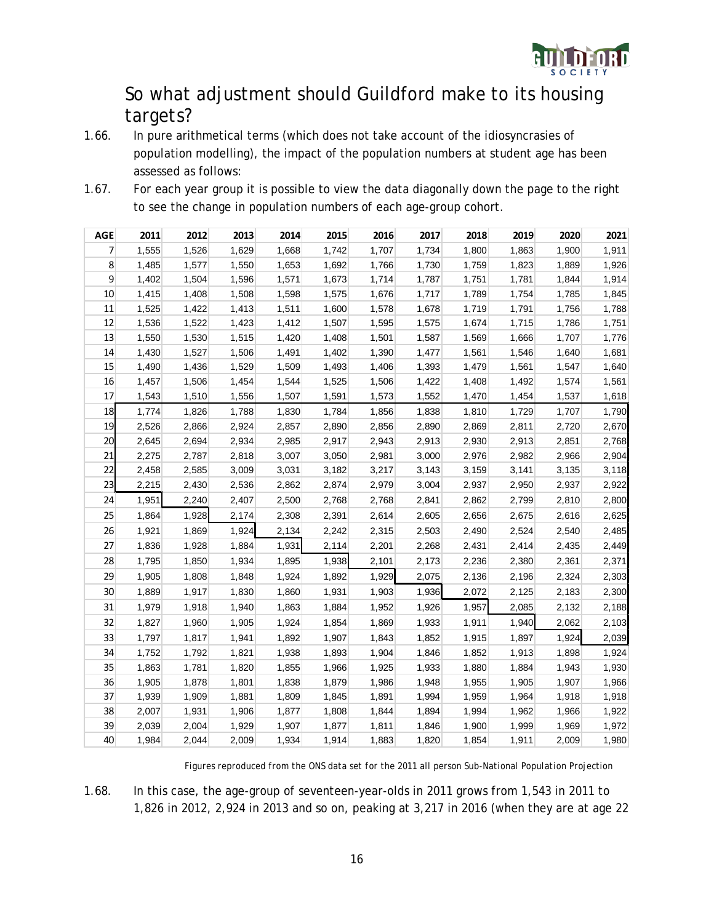

#### So what adjustment should Guildford make to its housing targets?

- 1.66. In pure arithmetical terms (which does not take account of the idiosyncrasies of population modelling), the impact of the population numbers at student age has been assessed as follows:
- 1.67. For each year group it is possible to view the data diagonally down the page to the right to see the change in population numbers of each age-group cohort.

| <b>AGE</b> | 2011  | 2012  | 2013  | 2014  | 2015  | 2016  | 2017  | 2018  | 2019  | 2020  | 2021  |
|------------|-------|-------|-------|-------|-------|-------|-------|-------|-------|-------|-------|
| 7          | 1,555 | 1,526 | 1,629 | 1,668 | 1,742 | 1,707 | 1,734 | 1,800 | 1,863 | 1,900 | 1,911 |
| 8          | 1,485 | 1,577 | 1,550 | 1,653 | 1,692 | 1,766 | 1,730 | 1,759 | 1,823 | 1,889 | 1,926 |
| 9          | 1,402 | 1,504 | 1,596 | 1,571 | 1,673 | 1,714 | 1,787 | 1,751 | 1,781 | 1,844 | 1,914 |
| 10         | 1,415 | 1,408 | 1,508 | 1,598 | 1,575 | 1,676 | 1,717 | 1,789 | 1,754 | 1,785 | 1,845 |
| 11         | 1,525 | 1,422 | 1,413 | 1,511 | 1,600 | 1,578 | 1,678 | 1,719 | 1,791 | 1,756 | 1,788 |
| 12         | 1,536 | 1,522 | 1,423 | 1,412 | 1,507 | 1,595 | 1,575 | 1,674 | 1,715 | 1,786 | 1,751 |
| 13         | 1,550 | 1,530 | 1,515 | 1,420 | 1,408 | 1,501 | 1,587 | 1,569 | 1,666 | 1,707 | 1,776 |
| 14         | 1,430 | 1,527 | 1,506 | 1,491 | 1,402 | 1,390 | 1,477 | 1,561 | 1,546 | 1,640 | 1,681 |
| 15         | 1,490 | 1,436 | 1,529 | 1,509 | 1,493 | 1,406 | 1,393 | 1,479 | 1,561 | 1,547 | 1,640 |
| 16         | 1,457 | 1,506 | 1,454 | 1,544 | 1,525 | 1,506 | 1,422 | 1,408 | 1,492 | 1,574 | 1,561 |
| 17         | 1,543 | 1,510 | 1,556 | 1,507 | 1,591 | 1,573 | 1,552 | 1,470 | 1,454 | 1,537 | 1,618 |
| 18         | 1,774 | 1,826 | 1,788 | 1,830 | 1,784 | 1,856 | 1,838 | 1,810 | 1,729 | 1,707 | 1,790 |
| 19         | 2,526 | 2,866 | 2,924 | 2,857 | 2,890 | 2,856 | 2,890 | 2,869 | 2,811 | 2,720 | 2,670 |
| 20         | 2,645 | 2,694 | 2,934 | 2,985 | 2,917 | 2,943 | 2,913 | 2,930 | 2,913 | 2,851 | 2,768 |
| 21         | 2,275 | 2,787 | 2,818 | 3,007 | 3,050 | 2,981 | 3,000 | 2,976 | 2,982 | 2,966 | 2,904 |
| 22         | 2,458 | 2,585 | 3,009 | 3,031 | 3,182 | 3,217 | 3,143 | 3,159 | 3,141 | 3,135 | 3,118 |
| 23         | 2,215 | 2,430 | 2,536 | 2,862 | 2,874 | 2,979 | 3,004 | 2,937 | 2,950 | 2,937 | 2,922 |
| 24         | 1,951 | 2,240 | 2,407 | 2,500 | 2,768 | 2,768 | 2,841 | 2,862 | 2,799 | 2,810 | 2,800 |
| 25         | 1,864 | 1,928 | 2,174 | 2,308 | 2,391 | 2,614 | 2,605 | 2,656 | 2,675 | 2,616 | 2,625 |
| 26         | 1,921 | 1,869 | 1,924 | 2,134 | 2,242 | 2,315 | 2,503 | 2,490 | 2,524 | 2,540 | 2,485 |
| 27         | 1,836 | 1,928 | 1,884 | 1,931 | 2,114 | 2,201 | 2,268 | 2,431 | 2,414 | 2,435 | 2,449 |
| 28         | 1,795 | 1,850 | 1,934 | 1,895 | 1,938 | 2,101 | 2,173 | 2,236 | 2,380 | 2,361 | 2,371 |
| 29         | 1,905 | 1,808 | 1,848 | 1,924 | 1,892 | 1,929 | 2,075 | 2,136 | 2,196 | 2,324 | 2,303 |
| 30         | 1,889 | 1,917 | 1,830 | 1,860 | 1,931 | 1,903 | 1,936 | 2,072 | 2,125 | 2,183 | 2,300 |
| 31         | 1,979 | 1,918 | 1,940 | 1,863 | 1,884 | 1,952 | 1,926 | 1,957 | 2,085 | 2,132 | 2,188 |
| 32         | 1,827 | 1,960 | 1,905 | 1,924 | 1,854 | 1,869 | 1,933 | 1,911 | 1,940 | 2,062 | 2,103 |
| 33         | 1,797 | 1,817 | 1,941 | 1,892 | 1,907 | 1,843 | 1,852 | 1,915 | 1,897 | 1,924 | 2,039 |
| 34         | 1,752 | 1,792 | 1,821 | 1,938 | 1,893 | 1,904 | 1,846 | 1,852 | 1,913 | 1,898 | 1,924 |
| 35         | 1,863 | 1,781 | 1,820 | 1,855 | 1,966 | 1,925 | 1,933 | 1,880 | 1,884 | 1,943 | 1,930 |
| 36         | 1,905 | 1,878 | 1,801 | 1,838 | 1,879 | 1,986 | 1,948 | 1,955 | 1,905 | 1,907 | 1,966 |
| 37         | 1,939 | 1,909 | 1,881 | 1,809 | 1,845 | 1,891 | 1,994 | 1,959 | 1,964 | 1,918 | 1,918 |
| 38         | 2,007 | 1,931 | 1,906 | 1,877 | 1,808 | 1,844 | 1,894 | 1,994 | 1,962 | 1,966 | 1,922 |
| 39         | 2,039 | 2,004 | 1,929 | 1,907 | 1,877 | 1,811 | 1,846 | 1,900 | 1,999 | 1,969 | 1,972 |
| 40         | 1,984 | 2,044 | 2,009 | 1,934 | 1,914 | 1,883 | 1,820 | 1,854 | 1,911 | 2,009 | 1,980 |

*Figures reproduced from the ONS data set for the 2011 all person Sub-National Population Projection*

1.68. In this case, the age-group of seventeen-year-olds in 2011 grows from 1,543 in 2011 to 1,826 in 2012, 2,924 in 2013 and so on, peaking at 3,217 in 2016 (when they are at age 22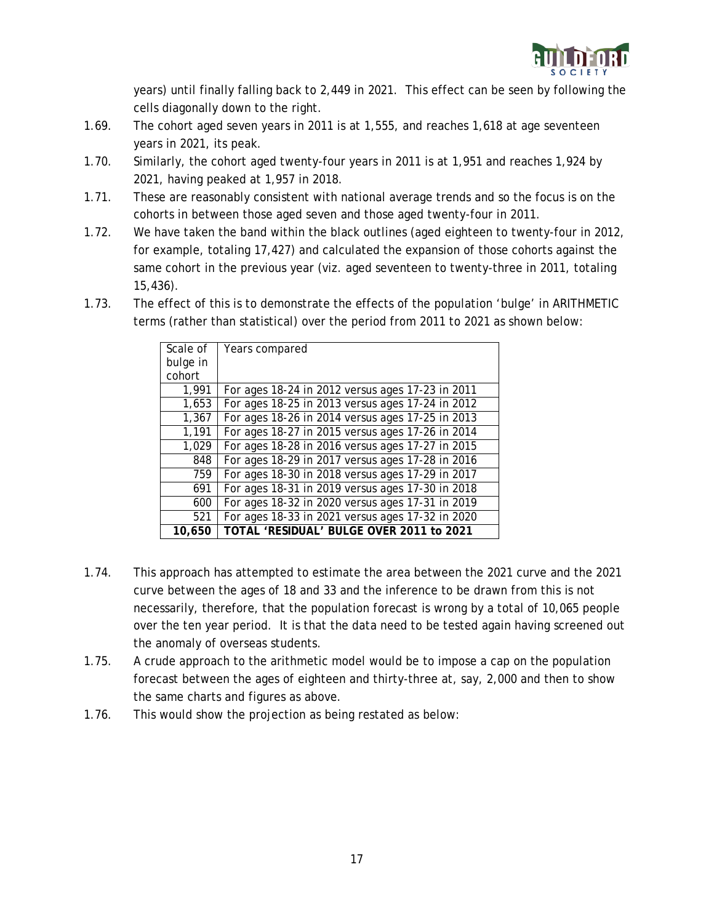

years) until finally falling back to 2,449 in 2021. This effect can be seen by following the cells diagonally down to the right.

- 1.69. The cohort aged seven years in 2011 is at 1,555, and reaches 1,618 at age seventeen years in 2021, its peak.
- 1.70. Similarly, the cohort aged twenty-four years in 2011 is at 1,951 and reaches 1,924 by 2021, having peaked at 1,957 in 2018.
- 1.71. These are reasonably consistent with national average trends and so the focus is on the cohorts in between those aged seven and those aged twenty-four in 2011.
- 1.72. We have taken the band within the black outlines (aged eighteen to twenty-four in 2012, for example, totaling 17,427) and calculated the expansion of those cohorts against the same cohort in the previous year (viz. aged seventeen to twenty-three in 2011, totaling 15,436).
- 1.73. The effect of this is to demonstrate the effects of the population 'bulge' in ARITHMETIC terms (rather than statistical) over the period from 2011 to 2021 as shown below:

| Scale of | Years compared                                   |
|----------|--------------------------------------------------|
| bulge in |                                                  |
| cohort   |                                                  |
| 1,991    | For ages 18-24 in 2012 versus ages 17-23 in 2011 |
| 1,653    | For ages 18-25 in 2013 versus ages 17-24 in 2012 |
| 1,367    | For ages 18-26 in 2014 versus ages 17-25 in 2013 |
| 1,191    | For ages 18-27 in 2015 versus ages 17-26 in 2014 |
| 1,029    | For ages 18-28 in 2016 versus ages 17-27 in 2015 |
| 848      | For ages 18-29 in 2017 versus ages 17-28 in 2016 |
| 759      | For ages 18-30 in 2018 versus ages 17-29 in 2017 |
| 691      | For ages 18-31 in 2019 versus ages 17-30 in 2018 |
| 600      | For ages 18-32 in 2020 versus ages 17-31 in 2019 |
| 521      | For ages 18-33 in 2021 versus ages 17-32 in 2020 |
| 10.650   | TOTAL 'RESIDUAL' BULGE OVER 2011 to 2021         |

- 1.74. This approach has attempted to estimate the area between the 2021 curve and the 2021 curve between the ages of 18 and 33 and the inference to be drawn from this is not necessarily, therefore, that the population forecast is wrong by a total of 10,065 people over the ten year period. It is that the data need to be tested again having screened out the anomaly of overseas students.
- 1.75. A crude approach to the arithmetic model would be to impose a cap on the population forecast between the ages of eighteen and thirty-three at, say, 2,000 and then to show the same charts and figures as above.
- 1.76. This would show the projection as being restated as below: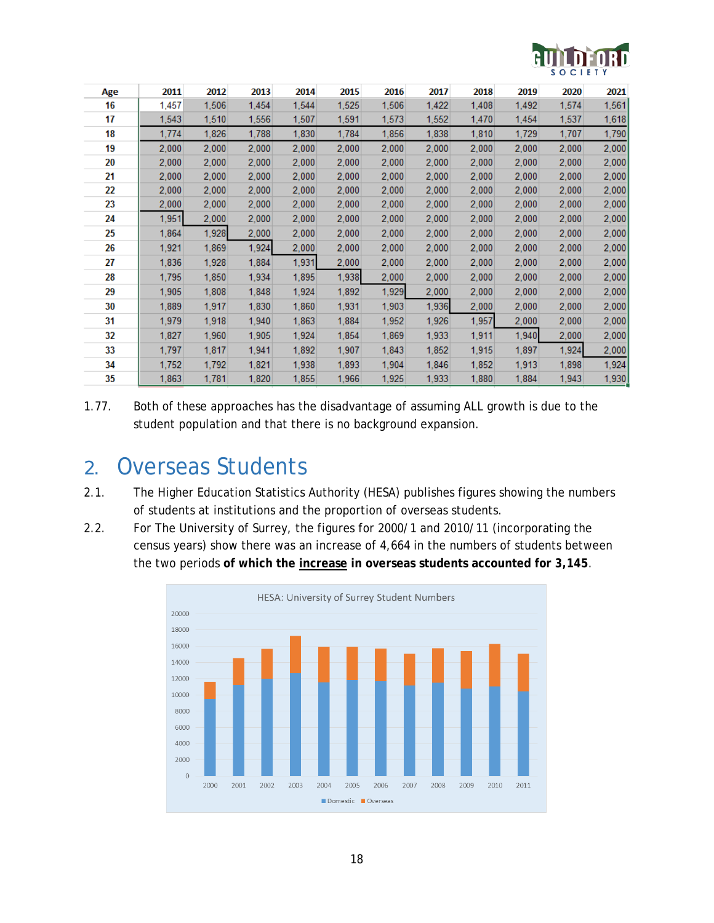

| Age | 2011  | 2012  | 2013  | 2014  | 2015  | 2016  | 2017  | 2018  | 2019  | 2020  | 2021  |
|-----|-------|-------|-------|-------|-------|-------|-------|-------|-------|-------|-------|
| 16  | 1,457 | 1,506 | 1,454 | 1,544 | 1,525 | 1,506 | 1,422 | 1,408 | 1,492 | 1,574 | 1,561 |
| 17  | 1,543 | 1,510 | 1,556 | 1,507 | 1,591 | 1,573 | 1,552 | 1,470 | 1,454 | 1,537 | 1,618 |
| 18  | 1,774 | 1,826 | 1,788 | 1,830 | 1,784 | 1,856 | 1,838 | 1,810 | 1,729 | 1,707 | 1,790 |
| 19  | 2,000 | 2,000 | 2,000 | 2,000 | 2,000 | 2,000 | 2,000 | 2,000 | 2,000 | 2,000 | 2,000 |
| 20  | 2,000 | 2,000 | 2,000 | 2,000 | 2,000 | 2,000 | 2,000 | 2,000 | 2,000 | 2,000 | 2,000 |
| 21  | 2,000 | 2,000 | 2,000 | 2,000 | 2,000 | 2,000 | 2,000 | 2,000 | 2,000 | 2,000 | 2,000 |
| 22  | 2,000 | 2,000 | 2,000 | 2,000 | 2,000 | 2,000 | 2,000 | 2,000 | 2,000 | 2,000 | 2,000 |
| 23  | 2,000 | 2,000 | 2,000 | 2,000 | 2,000 | 2,000 | 2,000 | 2,000 | 2,000 | 2,000 | 2,000 |
| 24  | 1,951 | 2,000 | 2,000 | 2,000 | 2,000 | 2,000 | 2,000 | 2,000 | 2,000 | 2,000 | 2,000 |
| 25  | 1,864 | 1,928 | 2.000 | 2,000 | 2,000 | 2,000 | 2,000 | 2,000 | 2,000 | 2,000 | 2,000 |
| 26  | 1,921 | 1,869 | 1,924 | 2,000 | 2,000 | 2,000 | 2,000 | 2,000 | 2,000 | 2,000 | 2,000 |
| 27  | 1,836 | 1,928 | 1,884 | 1,931 | 2,000 | 2,000 | 2,000 | 2,000 | 2,000 | 2,000 | 2,000 |
| 28  | 1,795 | 1,850 | 1,934 | 1,895 | 1,938 | 2,000 | 2,000 | 2,000 | 2,000 | 2,000 | 2,000 |
| 29  | 1,905 | 1,808 | 1,848 | 1,924 | 1,892 | 1,929 | 2,000 | 2,000 | 2,000 | 2,000 | 2,000 |
| 30  | 1,889 | 1,917 | 1,830 | 1,860 | 1,931 | 1,903 | 1,936 | 2,000 | 2,000 | 2,000 | 2,000 |
| 31  | 1,979 | 1,918 | 1,940 | 1,863 | 1,884 | 1,952 | 1,926 | 1,957 | 2,000 | 2,000 | 2,000 |
| 32  | 1,827 | 1,960 | 1,905 | 1,924 | 1,854 | 1,869 | 1,933 | 1,911 | 1,940 | 2,000 | 2,000 |
| 33  | 1,797 | 1,817 | 1,941 | 1,892 | 1,907 | 1,843 | 1,852 | 1,915 | 1,897 | 1,924 | 2,000 |
| 34  | 1,752 | 1,792 | 1,821 | 1,938 | 1,893 | 1,904 | 1,846 | 1,852 | 1,913 | 1,898 | 1,924 |
| 35  | 1,863 | 1,781 | 1,820 | 1,855 | 1,966 | 1,925 | 1,933 | 1,880 | 1,884 | 1,943 | 1,930 |

1.77. Both of these approaches has the disadvantage of assuming ALL growth is due to the student population and that there is no background expansion.

## 2. Overseas Students

- 2.1. The Higher Education Statistics Authority (HESA) publishes figures showing the numbers of students at institutions and the proportion of overseas students.
- 2.2. For The University of Surrey, the figures for 2000/1 and 2010/11 (incorporating the census years) show there was an increase of 4,664 in the numbers of students between the two periods **of which the increase in overseas students accounted for 3,145**.

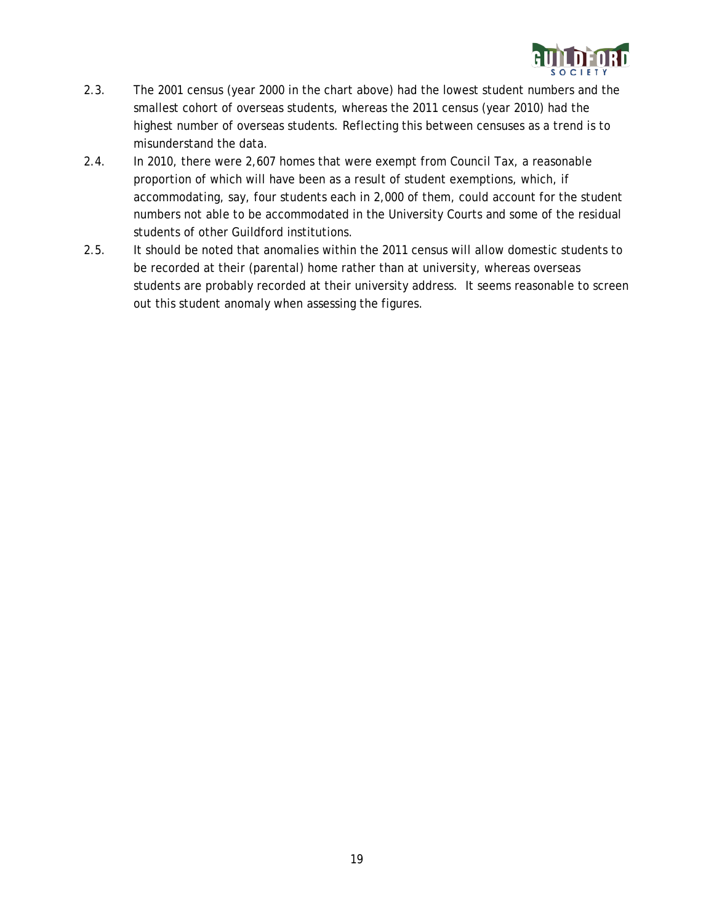

- 2.3. The 2001 census (year 2000 in the chart above) had the lowest student numbers and the smallest cohort of overseas students, whereas the 2011 census (year 2010) had the highest number of overseas students. Reflecting this between censuses as a trend is to misunderstand the data.
- 2.4. In 2010, there were 2,607 homes that were exempt from Council Tax, a reasonable proportion of which will have been as a result of student exemptions, which, if accommodating, say, four students each in 2,000 of them, could account for the student numbers not able to be accommodated in the University Courts and some of the residual students of other Guildford institutions.
- 2.5. It should be noted that anomalies within the 2011 census will allow domestic students to be recorded at their (parental) home rather than at university, whereas overseas students are probably recorded at their university address. It seems reasonable to screen out this student anomaly when assessing the figures.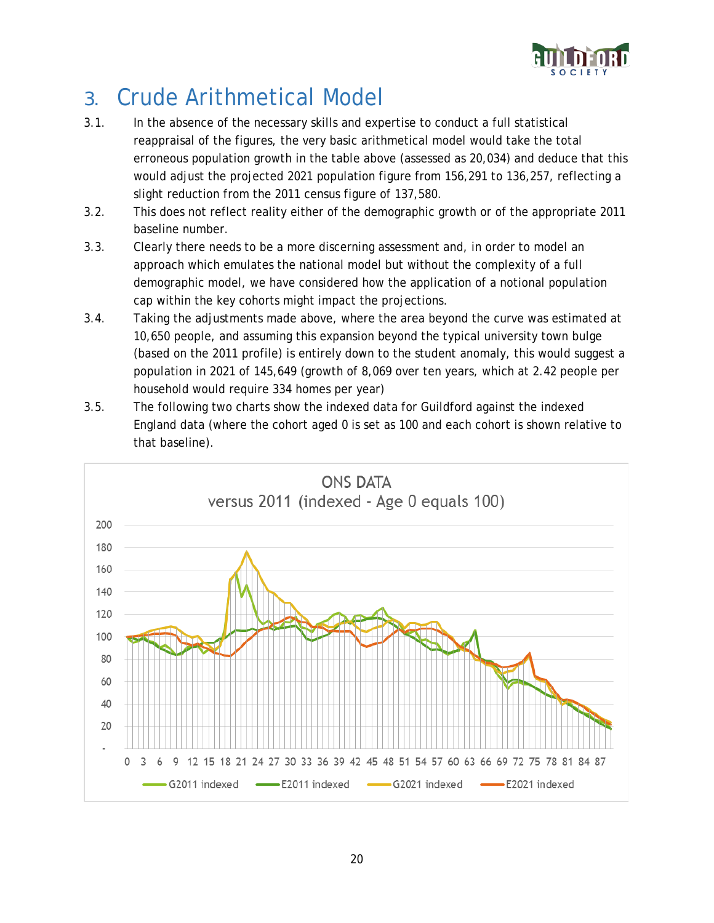

# 3. Crude Arithmetical Model

- 3.1. In the absence of the necessary skills and expertise to conduct a full statistical reappraisal of the figures, the very basic arithmetical model would take the total erroneous population growth in the table above (assessed as 20,034) and deduce that this would adjust the projected 2021 population figure from 156,291 to 136,257, reflecting a slight reduction from the 2011 census figure of 137,580.
- 3.2. This does not reflect reality either of the demographic growth or of the appropriate 2011 baseline number.
- 3.3. Clearly there needs to be a more discerning assessment and, in order to model an approach which emulates the national model but without the complexity of a full demographic model, we have considered how the application of a notional population cap within the key cohorts might impact the projections.
- 3.4. Taking the adjustments made above, where the area beyond the curve was estimated at 10,650 people, and assuming this expansion beyond the typical university town bulge (based on the 2011 profile) is entirely down to the student anomaly, this would suggest a population in 2021 of 145,649 (growth of 8,069 over ten years, which at 2.42 people per household would require 334 homes per year)
- 3.5. The following two charts show the indexed data for Guildford against the indexed England data (where the cohort aged 0 is set as 100 and each cohort is shown relative to that baseline).

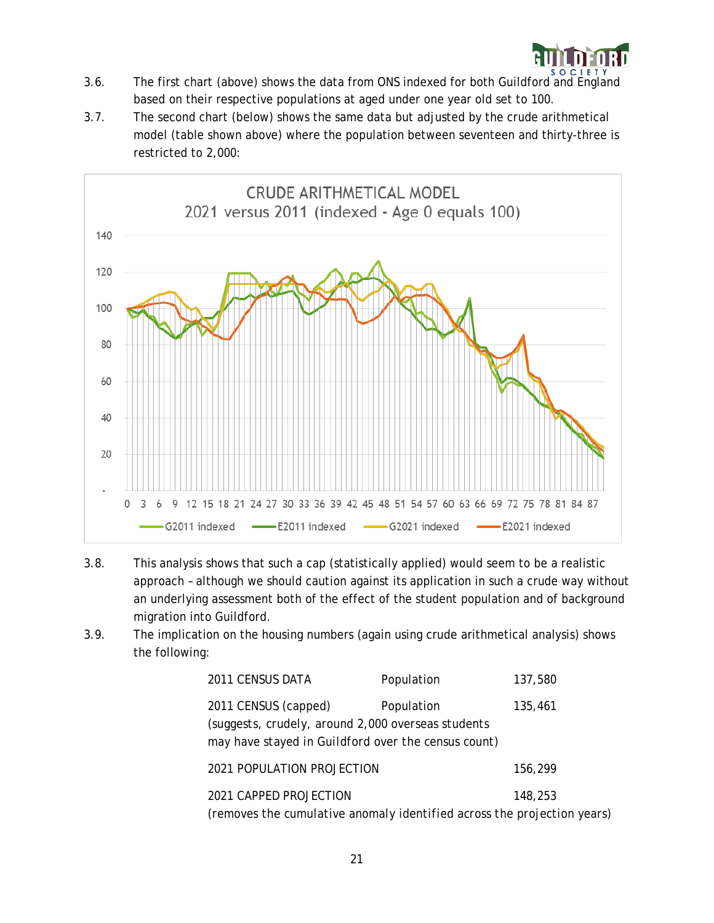

- 3.6. The first chart (above) shows the data from ONS indexed for both Guildford and England based on their respective populations at aged under one year old set to 100.
- 3.7. The second chart (below) shows the same data but adjusted by the crude arithmetical model (table shown above) where the population between seventeen and thirty-three is restricted to 2,000:



- 3.8. This analysis shows that such a cap (statistically applied) would seem to be a realistic approach – although we should caution against its application in such a crude way without an underlying assessment both of the effect of the student population and of background migration into Guildford.
- 3.9. The implication on the housing numbers (again using crude arithmetical analysis) shows the following:

| 2011 CENSUS DATA                                                                                                                  | Population | 137,580 |
|-----------------------------------------------------------------------------------------------------------------------------------|------------|---------|
| 2011 CENSUS (capped)<br>(suggests, crudely, around 2,000 overseas students<br>may have stayed in Guildford over the census count) | Population | 135,461 |
| 2021 POPULATION PROJECTION                                                                                                        |            | 156,299 |
| 2021 CAPPED PROJECTION<br>(removes the cumulative anomaly identified across the projection years)                                 |            | 148,253 |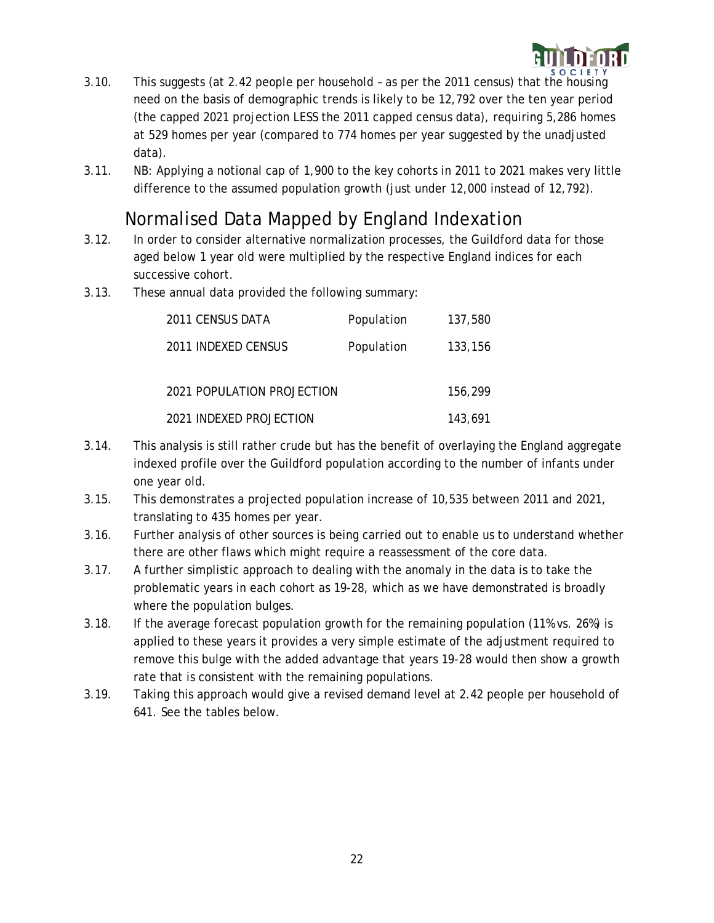

- 3.10. This suggests (at 2.42 people per household as per the 2011 census) that the housing need on the basis of demographic trends is likely to be 12,792 over the ten year period (the capped 2021 projection LESS the 2011 capped census data), requiring 5,286 homes at 529 homes per year (compared to 774 homes per year suggested by the unadjusted data).
- 3.11. NB: Applying a notional cap of 1,900 to the key cohorts in 2011 to 2021 makes very little difference to the assumed population growth (just under 12,000 instead of 12,792).

#### Normalised Data Mapped by England Indexation

- 3.12. In order to consider alternative normalization processes, the Guildford data for those aged below 1 year old were multiplied by the respective England indices for each successive cohort.
- 3.13. These annual data provided the following summary:

| 2011 CENSUS DATA           | Population | 137,580 |
|----------------------------|------------|---------|
| 2011 INDEXED CENSUS        | Population | 133,156 |
| 2021 POPULATION PROJECTION |            | 156,299 |
| 2021 INDEXED PROJECTION    |            | 143,691 |

- 3.14. This analysis is still rather crude but has the benefit of overlaying the England aggregate indexed profile over the Guildford population according to the number of infants under one year old.
- 3.15. This demonstrates a projected population increase of 10,535 between 2011 and 2021, translating to 435 homes per year.
- 3.16. Further analysis of other sources is being carried out to enable us to understand whether there are other flaws which might require a reassessment of the core data.
- 3.17. A further simplistic approach to dealing with the anomaly in the data is to take the problematic years in each cohort as 19-28, which as we have demonstrated is broadly where the population bulges.
- 3.18. If the average forecast population growth for the remaining population (11% vs. 26%) is applied to these years it provides a very simple estimate of the adjustment required to remove this bulge with the added advantage that years 19-28 would then show a growth rate that is consistent with the remaining populations.
- 3.19. Taking this approach would give a revised demand level at 2.42 people per household of 641. See the tables below.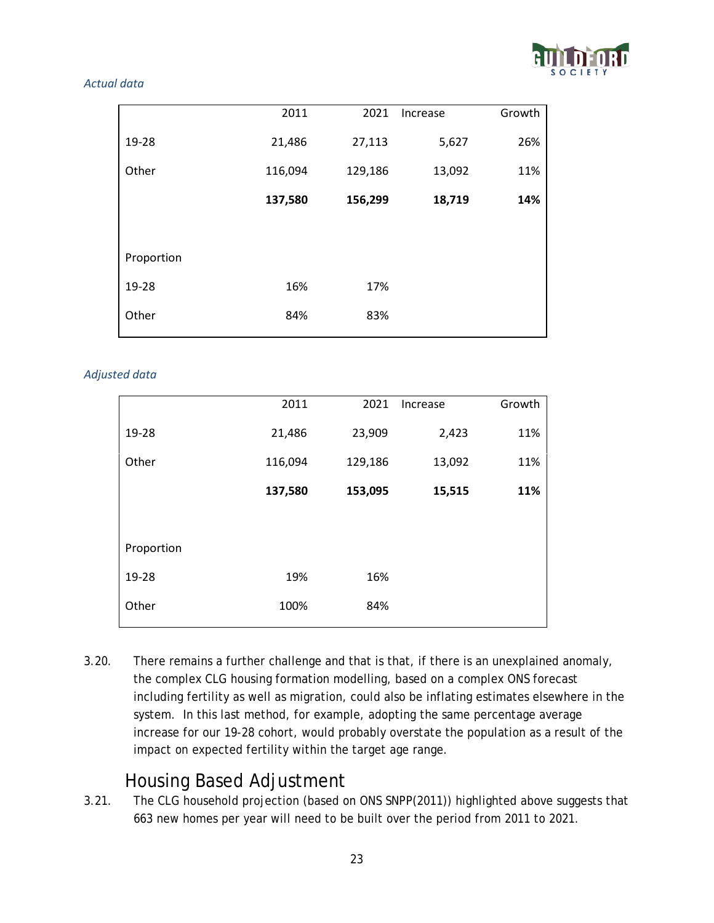

#### *Actual data*

|            | 2011    | 2021    | Increase | Growth |
|------------|---------|---------|----------|--------|
| 19-28      | 21,486  | 27,113  | 5,627    | 26%    |
| Other      | 116,094 | 129,186 | 13,092   | 11%    |
|            | 137,580 | 156,299 | 18,719   | 14%    |
|            |         |         |          |        |
| Proportion |         |         |          |        |
| 19-28      | 16%     | 17%     |          |        |
| Other      | 84%     | 83%     |          |        |
|            |         |         |          |        |

#### *Adjusted data*

|            | 2011    | 2021    | Increase | Growth |
|------------|---------|---------|----------|--------|
| 19-28      | 21,486  | 23,909  | 2,423    | 11%    |
| Other      | 116,094 | 129,186 | 13,092   | 11%    |
|            | 137,580 | 153,095 | 15,515   | 11%    |
|            |         |         |          |        |
| Proportion |         |         |          |        |
| 19-28      | 19%     | 16%     |          |        |
| Other      | 100%    | 84%     |          |        |
|            |         |         |          |        |

3.20. There remains a further challenge and that is that, if there is an unexplained anomaly, the complex CLG housing formation modelling, based on a complex ONS forecast including fertility as well as migration, could also be inflating estimates elsewhere in the system. In this last method, for example, adopting the same percentage average increase for our 19-28 cohort, would probably overstate the population as a result of the impact on expected fertility within the target age range.

#### Housing Based Adjustment

3.21. The CLG household projection (based on ONS SNPP(2011)) highlighted above suggests that 663 new homes per year will need to be built over the period from 2011 to 2021.